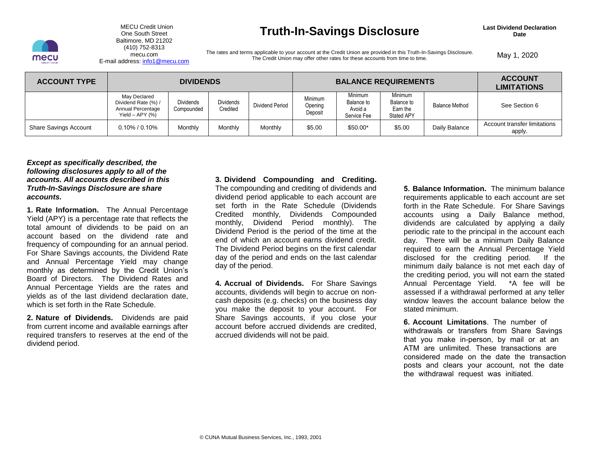

### Baltimore, MD 21202 E-mail address: info1@mecu.com (410) 752-8313

## MECU Credit Union **Last Dividend Declaration**<br>
One South Street **Date Truth-In-Savings Disclosure Detain Date** Date

The rates and terms applicable to your account at the Credit Union are provided in this Truth-In-Savings Disclosure.<br>E-mail address: info1@[mecu.com](https://mecu.com) The Credit Union may offer other rates for these accounts from time to tim The Credit Union may offer other rates for these accounts from time to time.

| <b>ACCOUNT TYPE</b>          | <b>DIVIDENDS</b>                                                                |                                |                              |                 | <b>BALANCE REQUIREMENTS</b>   |                                                 |                                                 |                       | <b>ACCOUNT</b><br><b>LIMITATIONS</b>   |
|------------------------------|---------------------------------------------------------------------------------|--------------------------------|------------------------------|-----------------|-------------------------------|-------------------------------------------------|-------------------------------------------------|-----------------------|----------------------------------------|
|                              | May Declared<br>Dividend Rate (%) /<br>Annual Percentage<br>Yield $-$ APY $(%)$ | <b>Dividends</b><br>Compounded | <b>Dividends</b><br>Credited | Dividend Period | Minimum<br>Opening<br>Deposit | Minimum<br>Balance to<br>Avoid a<br>Service Fee | Minimum<br>Balance to<br>Earn the<br>Stated APY | <b>Balance Method</b> | See Section 6                          |
| <b>Share Savings Account</b> | $0.10\%$ / $0.10\%$                                                             | Monthly                        | Monthly                      | Monthly         | \$5.00                        | $$50.00*$                                       | \$5.00                                          | Daily Balance         | Account transfer limitations<br>apply. |

### *Except as specifically described, the following disclosures apply to all of the accounts. All accounts described in this Truth-In-Savings Disclosure are share accounts.*

 **1. Rate Information.** The Annual Percentage Yield (APY) is a percentage rate that reflects the total amount of dividends to be paid on an account based on the dividend rate and frequency of compounding for an annual period. and Annual Percentage Yield may change monthly as determined by the Credit Union's Board of Directors. The Dividend Rates and Annual Percentage Yields are the rates and yields as of the last dividend declaration date, For Share Savings accounts, the Dividend Rate which is set forth in the Rate Schedule.

 **2. Nature of Dividends.** Dividends are paid from current income and available earnings after required transfers to reserves at the end of the dividend period.

 **3. Dividend Compounding and Crediting.** The compounding and crediting of dividends and Credited monthly, Dividends Compounded Dividend Period is the period of the time at the end of which an account earns dividend credit. The Dividend Period begins on the first calendar day of the period and ends on the last calendar dividend period applicable to each account are set forth in the Rate Schedule (Dividends monthly, Dividend Period monthly). The day of the period.

 accounts, dividends will begin to accrue on non- cash deposits (e.g. checks) on the business day you make the deposit to your account. For Share Savings accounts, if you close your **4. Accrual of Dividends.** For Share Savings account before accrued dividends are credited, accrued dividends will not be paid.

 **5. Balance Information.** The minimum balance requirements applicable to each account are set accounts using a Daily Balance method, dividends are calculated by applying a daily periodic rate to the principal in the account each day. There will be a minimum Daily Balance required to earn the Annual Percentage Yield disclosed for the crediting period. If the minimum daily balance is not met each day of the crediting period, you will not earn the stated Annual Percentage Yield. \*A fee will be assessed if a withdrawal performed at any teller window leaves the account balance below the forth in the Rate Schedule. For Share Savings stated minimum.

 **6. Account Limitations**. The number of that you make in-person, by mail or at an ATM are unlimited. These transactions are considered made on the date the transaction posts and clears your account, not the date withdrawals or transfers from Share Savings the withdrawal request was initiated.